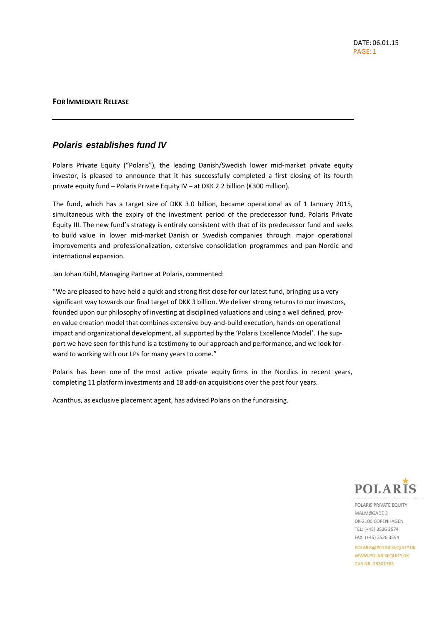## **FOR IMMEDIATERELEASE**

## *Polaris establishes fund IV*

Polaris Private Equity ("Polaris"), the leading Danish/Swedish lower mid-market private equity investor, is pleased to announce that it has successfully completed a first closing of its fourth private equity fund – Polaris Private Equity IV – at DKK 2.2 billion (€300 million).

The fund, which has a target size of DKK 3.0 billion, became operational as of 1 January 2015, simultaneous with the expiry of the investment period of the predecessor fund, Polaris Private Equity III. The new fund's strategy is entirely consistent with that of its predecessor fund and seeks to build value in lower mid-market Danish or Swedish companies through major operational improvements and professionalization, extensive consolidation programmes and pan-Nordic and international expansion.

Jan Johan Kühl, Managing Partner at Polaris, commented:

"We are pleased to have held a quick and strong first close for our latest fund, bringing us a very significant way towards our final target of DKK 3 billion. We deliver strong returns to our investors, founded upon our philosophy of investing at disciplined valuations and using a well defined, proven value creation model that combines extensive buy-and-build execution, hands-on operational impact and organizational development, all supported by the 'Polaris Excellence Model'. The support we have seen for this fund is a testimony to our approach and performance, and we look forward to working with our LPs for many years to come."

Polaris has been one of the most active private equity firms in the Nordics in recent years, completing 11 platform investments and 18 add-on acquisitions over the past four years.

Acanthus, as exclusive placement agent, has advised Polaris on the fundraising.



POLARIS PRIVATE EQUITY MALMØGADE 3 DK-2100 COPENHAGEN TEL: (+45) 3526 3574 FAX: (+45) 3526 3594

POLARIS@POLARISEQUITY.DK WWW.POLARISEQUITY.DK CVR NR 28501765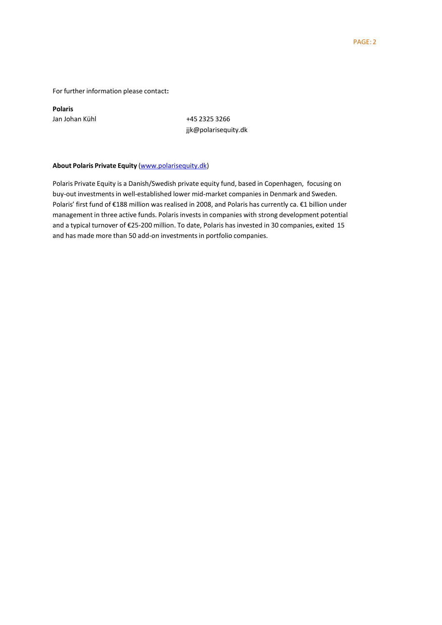For further information please contact**:**

**Polaris**

Jan Johan Kühl +45 2325 3266 [jjk@polarisequity.dk](mailto:jjk@polarisequity.dk)

## **About Polaris Private Equity** [\(www.polarisequity.dk\)](http://www.polarisequity.dk/)

Polaris Private Equity is a Danish/Swedish private equity fund, based in Copenhagen, focusing on buy-out investments in well-established lower mid-market companies in Denmark and Sweden. Polaris' first fund of €188 million was realised in 2008, and Polaris has currently ca. €1 billion under management in three active funds. Polaris investsin companies with strong development potential and a typical turnover of €25-200 million. To date, Polaris has invested in 30 companies, exited 15 and has made more than 50 add-on investments in portfolio companies.